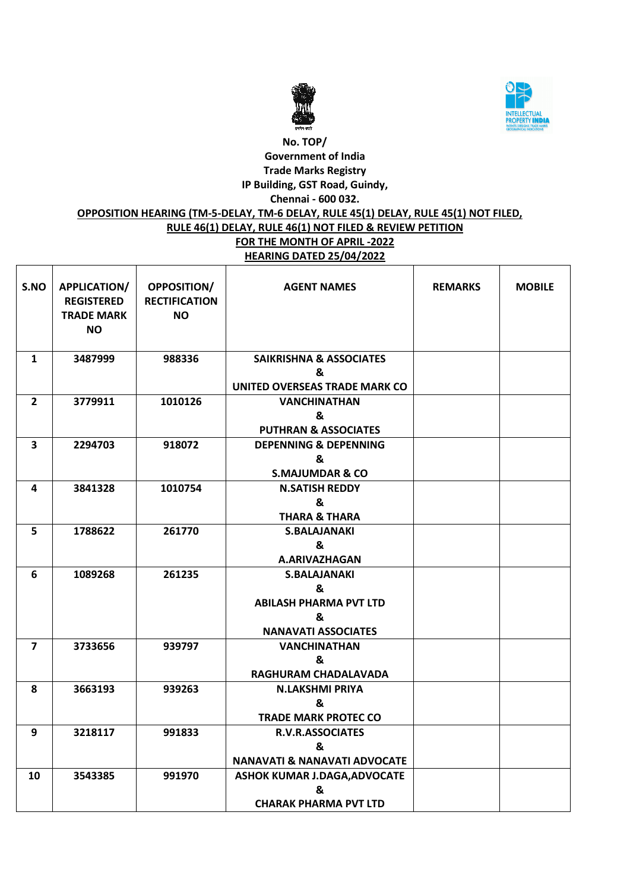



### **No. TOP/ Government of India Trade Marks Registry IP Building, GST Road, Guindy, Chennai - 600 032.**

### **OPPOSITION HEARING (TM-5-DELAY, TM-6 DELAY, RULE 45(1) DELAY, RULE 45(1) NOT FILED,**

# **RULE 46(1) DELAY, RULE 46(1) NOT FILED & REVIEW PETITION**

**FOR THE MONTH OF APRIL -2022 HEARING DATED 25/04/2022**

| S.NO                    | <b>APPLICATION/</b><br><b>REGISTERED</b><br><b>TRADE MARK</b><br><b>NO</b> | <b>OPPOSITION/</b><br><b>RECTIFICATION</b><br><b>NO</b> | <b>AGENT NAMES</b>                      | <b>REMARKS</b> | <b>MOBILE</b> |
|-------------------------|----------------------------------------------------------------------------|---------------------------------------------------------|-----------------------------------------|----------------|---------------|
| $\mathbf{1}$            | 3487999                                                                    | 988336                                                  | <b>SAIKRISHNA &amp; ASSOCIATES</b>      |                |               |
|                         |                                                                            |                                                         | &                                       |                |               |
|                         |                                                                            |                                                         | UNITED OVERSEAS TRADE MARK CO           |                |               |
| $\overline{2}$          | 3779911                                                                    | 1010126                                                 | <b>VANCHINATHAN</b>                     |                |               |
|                         |                                                                            |                                                         | &                                       |                |               |
|                         |                                                                            |                                                         | <b>PUTHRAN &amp; ASSOCIATES</b>         |                |               |
| $\overline{\mathbf{3}}$ | 2294703                                                                    | 918072                                                  | <b>DEPENNING &amp; DEPENNING</b>        |                |               |
|                         |                                                                            |                                                         | &                                       |                |               |
|                         |                                                                            |                                                         | <b>S.MAJUMDAR &amp; CO</b>              |                |               |
| 4                       | 3841328                                                                    | 1010754                                                 | <b>N.SATISH REDDY</b>                   |                |               |
|                         |                                                                            |                                                         | &                                       |                |               |
|                         |                                                                            |                                                         | <b>THARA &amp; THARA</b>                |                |               |
| 5                       | 1788622                                                                    | 261770                                                  | <b>S.BALAJANAKI</b>                     |                |               |
|                         |                                                                            |                                                         | &                                       |                |               |
|                         |                                                                            |                                                         | A.ARIVAZHAGAN                           |                |               |
| 6                       | 1089268                                                                    | 261235                                                  | <b>S.BALAJANAKI</b>                     |                |               |
|                         |                                                                            |                                                         | &                                       |                |               |
|                         |                                                                            |                                                         | <b>ABILASH PHARMA PVT LTD</b>           |                |               |
|                         |                                                                            |                                                         | &                                       |                |               |
|                         |                                                                            |                                                         | <b>NANAVATI ASSOCIATES</b>              |                |               |
| 7                       | 3733656                                                                    | 939797                                                  | <b>VANCHINATHAN</b>                     |                |               |
|                         |                                                                            |                                                         | &                                       |                |               |
|                         |                                                                            |                                                         | RAGHURAM CHADALAVADA                    |                |               |
| 8                       | 3663193                                                                    | 939263                                                  | <b>N.LAKSHMI PRIYA</b>                  |                |               |
|                         |                                                                            |                                                         | &                                       |                |               |
|                         |                                                                            |                                                         | <b>TRADE MARK PROTEC CO</b>             |                |               |
| 9                       | 3218117                                                                    | 991833                                                  | <b>R.V.R.ASSOCIATES</b>                 |                |               |
|                         |                                                                            |                                                         | &                                       |                |               |
|                         |                                                                            |                                                         | <b>NANAVATI &amp; NANAVATI ADVOCATE</b> |                |               |
| 10                      | 3543385                                                                    | 991970                                                  | <b>ASHOK KUMAR J.DAGA, ADVOCATE</b>     |                |               |
|                         |                                                                            |                                                         | &                                       |                |               |
|                         |                                                                            |                                                         | <b>CHARAK PHARMA PVT LTD</b>            |                |               |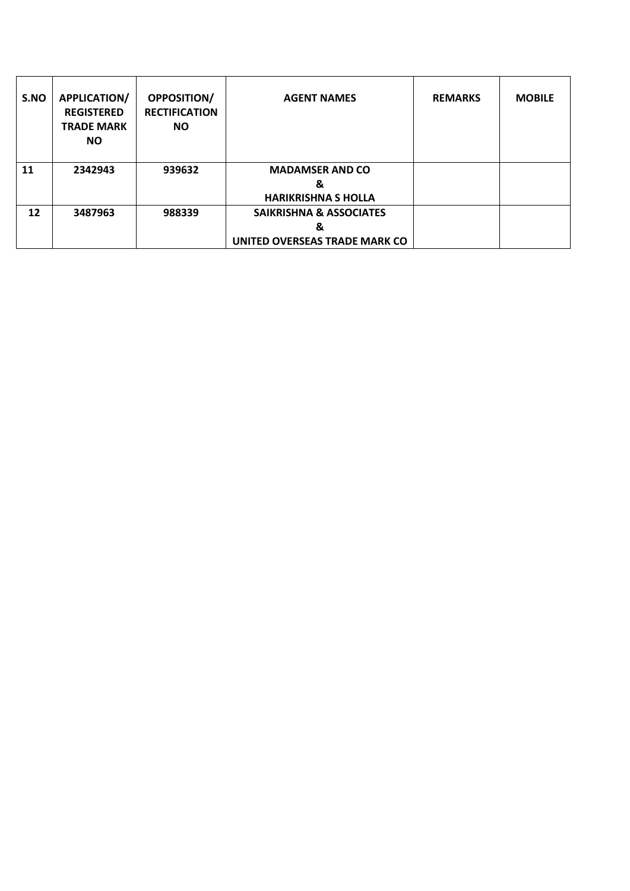| S.NO | <b>APPLICATION/</b><br><b>REGISTERED</b><br><b>TRADE MARK</b><br><b>NO</b> | <b>OPPOSITION/</b><br><b>RECTIFICATION</b><br><b>NO</b> | <b>AGENT NAMES</b>                 | <b>REMARKS</b> | <b>MOBILE</b> |
|------|----------------------------------------------------------------------------|---------------------------------------------------------|------------------------------------|----------------|---------------|
| 11   | 2342943                                                                    | 939632                                                  | <b>MADAMSER AND CO</b><br>&        |                |               |
|      |                                                                            |                                                         | <b>HARIKRISHNA S HOLLA</b>         |                |               |
| 12   | 3487963                                                                    | 988339                                                  | <b>SAIKRISHNA &amp; ASSOCIATES</b> |                |               |
|      |                                                                            |                                                         | &                                  |                |               |
|      |                                                                            |                                                         | UNITED OVERSEAS TRADE MARK CO      |                |               |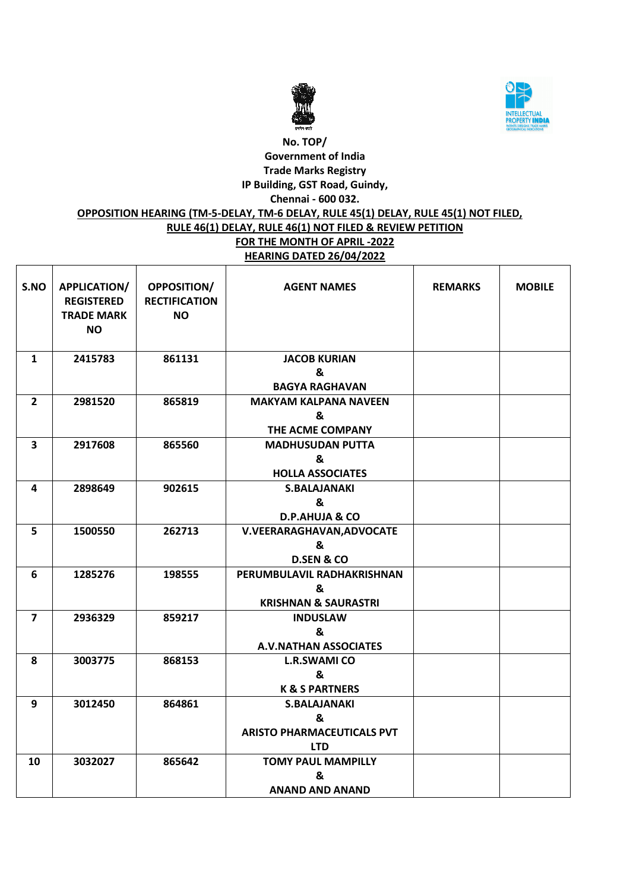



### **No. TOP/ Government of India Trade Marks Registry IP Building, GST Road, Guindy, Chennai - 600 032.**

### **OPPOSITION HEARING (TM-5-DELAY, TM-6 DELAY, RULE 45(1) DELAY, RULE 45(1) NOT FILED,**

## **RULE 46(1) DELAY, RULE 46(1) NOT FILED & REVIEW PETITION**

**FOR THE MONTH OF APRIL -2022 HEARING DATED 26/04/2022**

| S.NO                    | <b>APPLICATION/</b><br><b>REGISTERED</b><br><b>TRADE MARK</b><br><b>NO</b> | <b>OPPOSITION/</b><br><b>RECTIFICATION</b><br>NO. | <b>AGENT NAMES</b>                                                          | <b>REMARKS</b> | <b>MOBILE</b> |
|-------------------------|----------------------------------------------------------------------------|---------------------------------------------------|-----------------------------------------------------------------------------|----------------|---------------|
| $\mathbf{1}$            | 2415783                                                                    | 861131                                            | <b>JACOB KURIAN</b><br>&<br><b>BAGYA RAGHAVAN</b>                           |                |               |
| $\overline{2}$          | 2981520                                                                    | 865819                                            | <b>MAKYAM KALPANA NAVEEN</b><br>&<br>THE ACME COMPANY                       |                |               |
| $\overline{\mathbf{3}}$ | 2917608                                                                    | 865560                                            | <b>MADHUSUDAN PUTTA</b><br>&<br><b>HOLLA ASSOCIATES</b>                     |                |               |
| 4                       | 2898649                                                                    | 902615                                            | <b>S.BALAJANAKI</b><br>&<br><b>D.P.AHUJA &amp; CO</b>                       |                |               |
| 5                       | 1500550                                                                    | 262713                                            | V.VEERARAGHAVAN, ADVOCATE<br>&<br><b>D.SEN &amp; CO</b>                     |                |               |
| 6                       | 1285276                                                                    | 198555                                            | PERUMBULAVIL RADHAKRISHNAN<br>&<br><b>KRISHNAN &amp; SAURASTRI</b>          |                |               |
| $\overline{7}$          | 2936329                                                                    | 859217                                            | <b>INDUSLAW</b><br>&<br><b>A.V.NATHAN ASSOCIATES</b>                        |                |               |
| 8                       | 3003775                                                                    | 868153                                            | <b>L.R.SWAMI CO</b><br>&<br><b>K &amp; S PARTNERS</b>                       |                |               |
| 9                       | 3012450                                                                    | 864861                                            | <b>S.BALAJANAKI</b><br>&<br><b>ARISTO PHARMACEUTICALS PVT</b><br><b>LTD</b> |                |               |
| 10                      | 3032027                                                                    | 865642                                            | <b>TOMY PAUL MAMPILLY</b><br>&<br><b>ANAND AND ANAND</b>                    |                |               |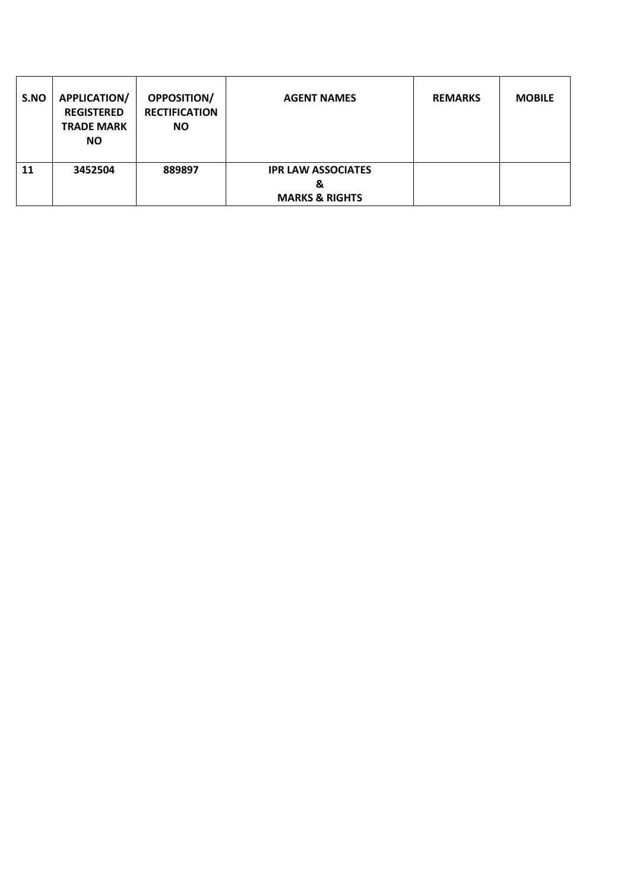| S.NO | <b>APPLICATION/</b><br><b>REGISTERED</b><br><b>TRADE MARK</b><br><b>NO</b> | <b>OPPOSITION/</b><br><b>RECTIFICATION</b><br><b>NO</b> | <b>AGENT NAMES</b>                                          | <b>REMARKS</b> | <b>MOBILE</b> |
|------|----------------------------------------------------------------------------|---------------------------------------------------------|-------------------------------------------------------------|----------------|---------------|
| 11   | 3452504                                                                    | 889897                                                  | <b>IPR LAW ASSOCIATES</b><br>&<br><b>MARKS &amp; RIGHTS</b> |                |               |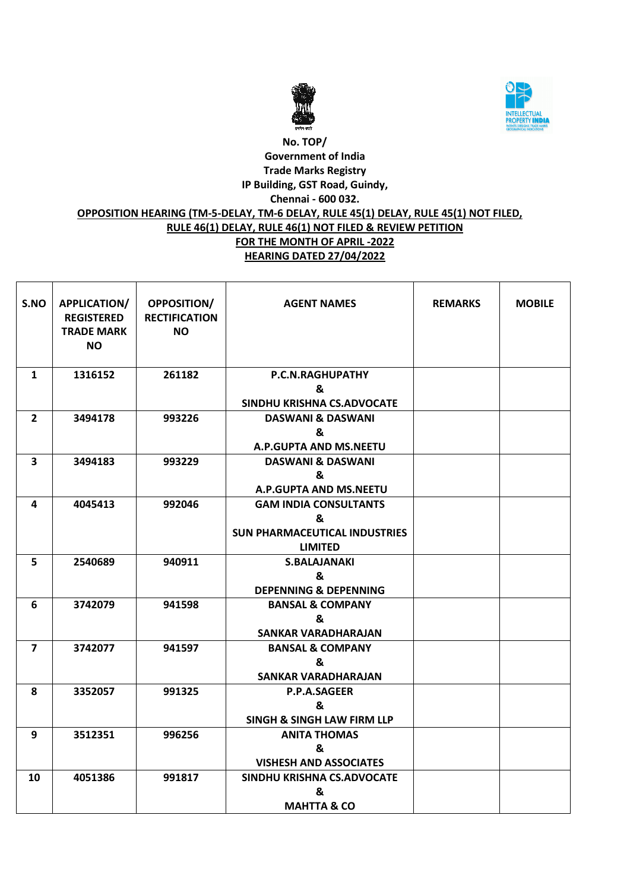



#### **No. TOP/ Government of India Trade Marks Registry IP Building, GST Road, Guindy, Chennai - 600 032. OPPOSITION HEARING (TM-5-DELAY, TM-6 DELAY, RULE 45(1) DELAY, RULE 45(1) NOT FILED, RULE 46(1) DELAY, RULE 46(1) NOT FILED & REVIEW PETITION FOR THE MONTH OF APRIL -2022 HEARING DATED 27/04/2022**

| S.NO           | APPLICATION/<br><b>REGISTERED</b><br><b>TRADE MARK</b><br><b>NO</b> | <b>OPPOSITION/</b><br><b>RECTIFICATION</b><br><b>NO</b> | <b>AGENT NAMES</b>                    | <b>REMARKS</b> | <b>MOBILE</b> |
|----------------|---------------------------------------------------------------------|---------------------------------------------------------|---------------------------------------|----------------|---------------|
| 1              | 1316152                                                             | 261182                                                  | P.C.N.RAGHUPATHY                      |                |               |
|                |                                                                     |                                                         | &                                     |                |               |
|                |                                                                     |                                                         | SINDHU KRISHNA CS.ADVOCATE            |                |               |
| $\mathbf{2}$   | 3494178                                                             | 993226                                                  | <b>DASWANI &amp; DASWANI</b>          |                |               |
|                |                                                                     |                                                         | &                                     |                |               |
|                |                                                                     |                                                         | A.P.GUPTA AND MS.NEETU                |                |               |
| 3              | 3494183                                                             | 993229                                                  | <b>DASWANI &amp; DASWANI</b>          |                |               |
|                |                                                                     |                                                         | &                                     |                |               |
|                |                                                                     |                                                         | A.P.GUPTA AND MS.NEETU                |                |               |
| 4              | 4045413                                                             | 992046                                                  | <b>GAM INDIA CONSULTANTS</b>          |                |               |
|                |                                                                     |                                                         | &                                     |                |               |
|                |                                                                     |                                                         | <b>SUN PHARMACEUTICAL INDUSTRIES</b>  |                |               |
|                |                                                                     |                                                         | <b>LIMITED</b>                        |                |               |
| 5              | 2540689                                                             | 940911                                                  | <b>S.BALAJANAKI</b>                   |                |               |
|                |                                                                     |                                                         | &                                     |                |               |
|                |                                                                     |                                                         | <b>DEPENNING &amp; DEPENNING</b>      |                |               |
| 6              | 3742079                                                             | 941598                                                  | <b>BANSAL &amp; COMPANY</b>           |                |               |
|                |                                                                     |                                                         | &                                     |                |               |
|                |                                                                     |                                                         | SANKAR VARADHARAJAN                   |                |               |
| $\overline{7}$ | 3742077                                                             | 941597                                                  | <b>BANSAL &amp; COMPANY</b>           |                |               |
|                |                                                                     |                                                         | &                                     |                |               |
|                |                                                                     |                                                         | <b>SANKAR VARADHARAJAN</b>            |                |               |
| 8              | 3352057                                                             | 991325                                                  | P.P.A.SAGEER                          |                |               |
|                |                                                                     |                                                         | &                                     |                |               |
|                |                                                                     |                                                         | <b>SINGH &amp; SINGH LAW FIRM LLP</b> |                |               |
| 9              | 3512351                                                             | 996256                                                  | <b>ANITA THOMAS</b>                   |                |               |
|                |                                                                     |                                                         | &                                     |                |               |
|                |                                                                     |                                                         | <b>VISHESH AND ASSOCIATES</b>         |                |               |
| 10             | 4051386                                                             | 991817                                                  | SINDHU KRISHNA CS.ADVOCATE            |                |               |
|                |                                                                     |                                                         | &                                     |                |               |
|                |                                                                     |                                                         | <b>MAHTTA &amp; CO</b>                |                |               |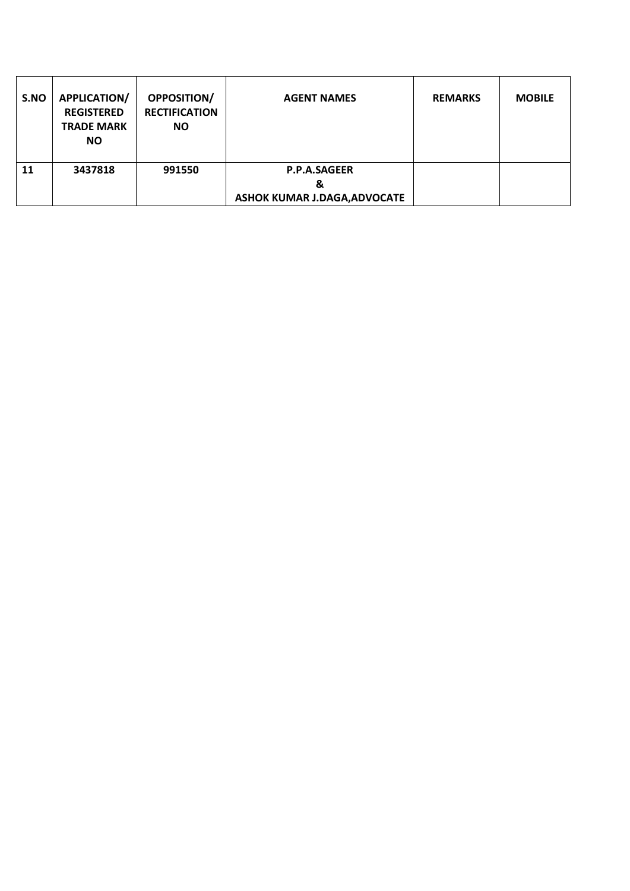| S.NO | <b>APPLICATION/</b><br><b>REGISTERED</b><br><b>TRADE MARK</b><br><b>NO</b> | OPPOSITION/<br><b>RECTIFICATION</b><br><b>NO</b> | <b>AGENT NAMES</b>                                              | <b>REMARKS</b> | <b>MOBILE</b> |
|------|----------------------------------------------------------------------------|--------------------------------------------------|-----------------------------------------------------------------|----------------|---------------|
| 11   | 3437818                                                                    | 991550                                           | <b>P.P.A.SAGEER</b><br>&<br><b>ASHOK KUMAR J.DAGA, ADVOCATE</b> |                |               |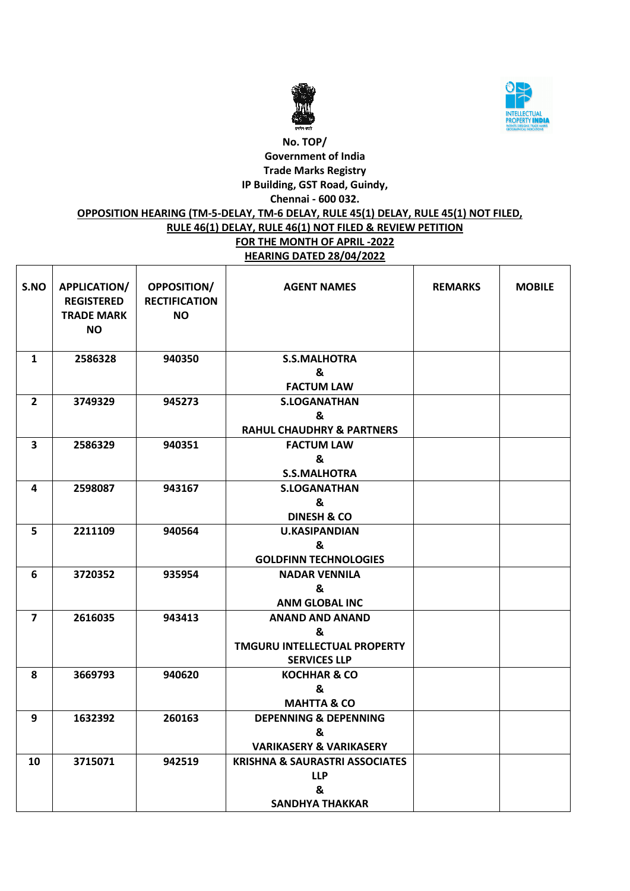



### **No. TOP/ Government of India Trade Marks Registry IP Building, GST Road, Guindy, Chennai - 600 032.**

### **OPPOSITION HEARING (TM-5-DELAY, TM-6 DELAY, RULE 45(1) DELAY, RULE 45(1) NOT FILED,**

# **RULE 46(1) DELAY, RULE 46(1) NOT FILED & REVIEW PETITION**

**FOR THE MONTH OF APRIL -2022 HEARING DATED 28/04/2022**

| S.NO           | <b>APPLICATION/</b><br><b>REGISTERED</b><br><b>TRADE MARK</b><br>NO. | <b>OPPOSITION/</b><br><b>RECTIFICATION</b><br><b>NO</b> | <b>AGENT NAMES</b>                        | <b>REMARKS</b> | <b>MOBILE</b> |
|----------------|----------------------------------------------------------------------|---------------------------------------------------------|-------------------------------------------|----------------|---------------|
| $\mathbf{1}$   | 2586328                                                              | 940350                                                  | <b>S.S.MALHOTRA</b>                       |                |               |
|                |                                                                      |                                                         | &                                         |                |               |
|                |                                                                      |                                                         | <b>FACTUM LAW</b>                         |                |               |
| $\mathbf{2}$   | 3749329                                                              | 945273                                                  | <b>S.LOGANATHAN</b>                       |                |               |
|                |                                                                      |                                                         | &                                         |                |               |
|                |                                                                      |                                                         | <b>RAHUL CHAUDHRY &amp; PARTNERS</b>      |                |               |
| 3              | 2586329                                                              | 940351                                                  | <b>FACTUM LAW</b>                         |                |               |
|                |                                                                      |                                                         | &                                         |                |               |
|                |                                                                      |                                                         | <b>S.S.MALHOTRA</b>                       |                |               |
| 4              | 2598087                                                              | 943167                                                  | <b>S.LOGANATHAN</b>                       |                |               |
|                |                                                                      |                                                         | &                                         |                |               |
|                |                                                                      |                                                         | <b>DINESH &amp; CO</b>                    |                |               |
| 5              | 2211109                                                              | 940564                                                  | <b>U.KASIPANDIAN</b>                      |                |               |
|                |                                                                      |                                                         | &                                         |                |               |
|                |                                                                      |                                                         | <b>GOLDFINN TECHNOLOGIES</b>              |                |               |
| 6              | 3720352                                                              | 935954                                                  | <b>NADAR VENNILA</b>                      |                |               |
|                |                                                                      |                                                         | &                                         |                |               |
|                |                                                                      |                                                         | <b>ANM GLOBAL INC</b>                     |                |               |
| $\overline{7}$ | 2616035                                                              | 943413                                                  | <b>ANAND AND ANAND</b>                    |                |               |
|                |                                                                      |                                                         | &                                         |                |               |
|                |                                                                      |                                                         | <b>TMGURU INTELLECTUAL PROPERTY</b>       |                |               |
|                |                                                                      |                                                         | <b>SERVICES LLP</b>                       |                |               |
| 8              | 3669793                                                              | 940620                                                  | <b>KOCHHAR &amp; CO</b>                   |                |               |
|                |                                                                      |                                                         | &                                         |                |               |
|                |                                                                      |                                                         | <b>MAHTTA &amp; CO</b>                    |                |               |
| 9              | 1632392                                                              | 260163                                                  | <b>DEPENNING &amp; DEPENNING</b>          |                |               |
|                |                                                                      |                                                         | &                                         |                |               |
|                |                                                                      |                                                         | <b>VARIKASERY &amp; VARIKASERY</b>        |                |               |
| 10             | 3715071                                                              | 942519                                                  | <b>KRISHNA &amp; SAURASTRI ASSOCIATES</b> |                |               |
|                |                                                                      |                                                         | <b>LLP</b>                                |                |               |
|                |                                                                      |                                                         | &                                         |                |               |
|                |                                                                      |                                                         | <b>SANDHYA THAKKAR</b>                    |                |               |